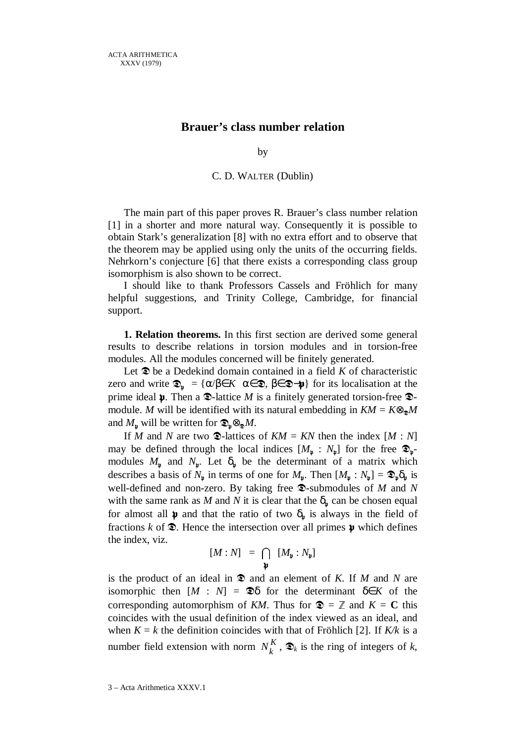## **Brauer's class number relation**

by

## C. D. WALTER (Dublin)

The main part of this paper proves R. Brauer's class number relation [1] in a shorter and more natural way. Consequently it is possible to obtain Stark's generalization [8] with no extra effort and to observe that the theorem may be applied using only the units of the occurring fields. Nehrkorn's conjecture [6] that there exists a corresponding class group isomorphism is also shown to be correct.

I should like to thank Professors Cassels and Fröhlich for many helpful suggestions, and Trinity College, Cambridge, for financial support.

**1. Relation theorems.** In this first section are derived some general results to describe relations in torsion modules and in torsion-free modules. All the modules concerned will be finitely generated.

Let  $\mathcal{D}$  be a Dedekind domain contained in a field *K* of characteristic zero and write  $\mathfrak{D}_{\mathfrak{p}} = {\alpha/\beta \in K | \alpha \in \mathfrak{D}, \beta \in \mathfrak{D} - \mathfrak{p}}$  for its localisation at the prime ideal  $\mathfrak p$ . Then a  $\mathfrak D$ -lattice *M* is a finitely generated torsion-free  $\mathfrak D$ module. *M* will be identified with its natural embedding in  $KM = K \otimes_{\mathbb{Z}} M$ and  $M_{\nu}$  will be written for  $\mathfrak{D}_{\nu} \otimes_{\mathfrak{D}} M$ .

If *M* and *N* are two  $\mathcal{D}$ -lattices of  $KM = KN$  then the index  $[M : N]$ may be defined through the local indices  $[M_{\nu} : N_{\nu}]$  for the free  $\mathcal{D}_{\nu}$ modules  $M_{\nu}$  and  $N_{\nu}$ . Let  $\delta_{\nu}$  be the determinant of a matrix which describes a basis of  $N_{\mathfrak{p}}$  in terms of one for  $M_{\mathfrak{p}}$ . Then  $[M_{\mathfrak{p}} : N_{\mathfrak{p}}] = \mathfrak{D}_{\mathfrak{p}} \delta_{\mathfrak{p}}$  is well-defined and non-zero. By taking free  $\mathcal{D}$ -submodules of *M* and *N* with the same rank as *M* and *N* it is clear that the  $\delta_{\psi}$  can be chosen equal for almost all  $\mu$  and that the ratio of two  $\delta_{\mu}$  is always in the field of fractions  $k$  of  $\mathcal{D}$ . Hence the intersection over all primes  $\mathfrak p$  which defines the index, viz.

$$
[M:N] = \bigcap_{\mathfrak{p}} [M_{\mathfrak{p}} : N_{\mathfrak{p}}]
$$

is the product of an ideal in  $\mathfrak{D}$  and an element of *K*. If *M* and *N* are isomorphic then  $[M : N] = \mathfrak{D}\delta$  for the determinant  $\delta \in K$  of the corresponding automorphism of *KM*. Thus for  $\mathbf{\mathfrak{D}} = \mathbb{Z}$  and  $K = \mathbf{C}$  this coincides with the usual definition of the index viewed as an ideal, and when  $K = k$  the definition coincides with that of Fröhlich [2]. If  $K/k$  is a number field extension with norm  $N_k^K$ ,  $\mathcal{D}_k$  is the ring of integers of *k*,

3 – Acta Arithmetica XXXV.1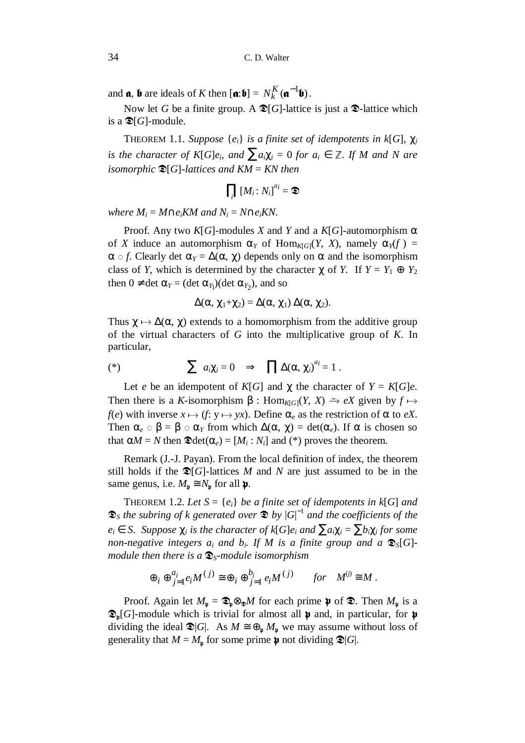and  $\mathbf{a}, \mathbf{b}$  are ideals of *K* then  $[\mathbf{a}:\mathbf{b}] = N_k^K(\mathbf{a}^{-1}\mathbf{b})$  $N_k^K(\mathfrak{a}^{-1}\mathfrak{b})$ .

Now let *G* be a finite group. A  $\mathcal{D}[G]$ -lattice is just a  $\mathcal{D}$ -lattice which is a  $\mathfrak{D}[G]$ -module.

THEOREM 1.1. *Suppose*  $\{e_i\}$  *is a finite set of idempotents in k*[*G*],  $\chi_i$ *is the character of K*[ $G$ *e*<sup>*i*</sup>, *and*  $\sum a_i \chi_i = 0$  *for*  $a_i \in \mathbb{Z}$ *. If M and N are isomorphic*  $\mathfrak{D}[G]$ *-lattices and KM = KN then* 

$$
\prod_i [M_i \colon N_i]^{a_i} = \mathfrak{D}
$$

 $where M_i = M \cap e_i K M$  and  $N_i = N \cap e_i K N$ .

Proof. Any two  $K[G]$ -modules *X* and *Y* and a  $K[G]$ -automorphism  $\alpha$ of *X* induce an automorphism  $\alpha_Y$  of Hom<sub>*K*[*G*]</sub>(*Y*, *X*), namely  $\alpha_Y(f)$  =  $\alpha \circ f$ . Clearly det  $\alpha_Y = \Delta(\alpha, \chi)$  depends only on  $\alpha$  and the isomorphism class of *Y*, which is determined by the character  $\chi$  of *Y*. If  $Y = Y_1 \oplus Y_2$ then  $0 \neq \det \alpha_Y = (\det \alpha_{Y_1})(\det \alpha_{Y_2})$ , and so

$$
\Delta(\alpha, \chi_1 + \chi_2) = \Delta(\alpha, \chi_1) \Delta(\alpha, \chi_2).
$$

Thus  $\chi \mapsto \Delta(\alpha, \chi)$  extends to a homomorphism from the additive group of the virtual characters of *G* into the multiplicative group of *K*. In particular,

$$
(*) \qquad \qquad \sum a_i \chi_i = 0 \quad \Rightarrow \quad \prod \Delta(\alpha, \chi_i)^{a_i} = 1 \; .
$$

Let *e* be an idempotent of  $K[G]$  and  $\chi$  the character of  $Y = K[G]e$ . Then there is a *K*-isomorphism  $\beta$ : Hom<sub>*K*[*G*](*Y*, *X*)  $\rightarrow$  *eX* given by  $f \mapsto$ </sub> *f*(*e*) with inverse  $x \mapsto (f: y \mapsto yx)$ . Define  $\alpha_e$  as the restriction of  $\alpha$  to *eX*. Then  $\alpha_e \circ \beta = \beta \circ \alpha_Y$  from which  $\Delta(\alpha, \chi) = \det(\alpha_e)$ . If  $\alpha$  is chosen so that  $\alpha M = N$  then  $\mathfrak{D}det(\alpha_e) = [M_i : N_i]$  and (\*) proves the theorem.

Remark (J.-J. Payan). From the local definition of index, the theorem still holds if the  $\mathfrak{D}[G]$ -lattices *M* and *N* are just assumed to be in the same genus, i.e.  $M_{\nu} \cong N_{\nu}$  for all  $\mathfrak{p}$ .

THEOREM 1.2. Let  $S = \{e_i\}$  be a finite set of idempotents in  $k[G]$  and  $\mathcal{D}_S$  the subring of k generated over  $\mathcal{D}$  by  $|G|^{-1}$  and the coefficients of the  $e_i \in S$ . *Suppose*  $\chi_i$  *is the character of*  $k[G]e_i$  *and*  $\sum a_i \chi_i = \sum b_i \chi_i$  *for some non-negative integers*  $a_i$  *and*  $b_i$ *. If M is a finite group and a*  $\mathcal{D}_S[G]$ *module then there is a*  $\mathcal{D}_s$ -*module isomorphism* 

$$
\oplus_i \oplus_{j=1}^{a_i} e_i M^{(j)} \cong \oplus_i \oplus_{j=1}^{b_i} e_i M^{(j)} \quad \text{for} \quad M^{(j)} \cong M.
$$

Proof. Again let  $M_{\mathfrak{p}} = \mathfrak{D}_{\mathfrak{p}} \otimes_{\mathfrak{D}} M$  for each prime  $\mathfrak{p}$  of  $\mathfrak{D}$ . Then  $M_{\mathfrak{p}}$  is a  $\mathfrak{D}_{\mathfrak{p}}[G]$ -module which is trivial for almost all  $\mathfrak{p}$  and, in particular, for  $\mathfrak{p}$ dividing the ideal  $\mathfrak{D}[G]$ . As  $M \cong \bigoplus_{\mathfrak{p}} M_{\mathfrak{p}}$  we may assume without loss of generality that  $M = M_{\nu}$  for some prime  $\nu$  not dividing  $\mathcal{D}|G|$ .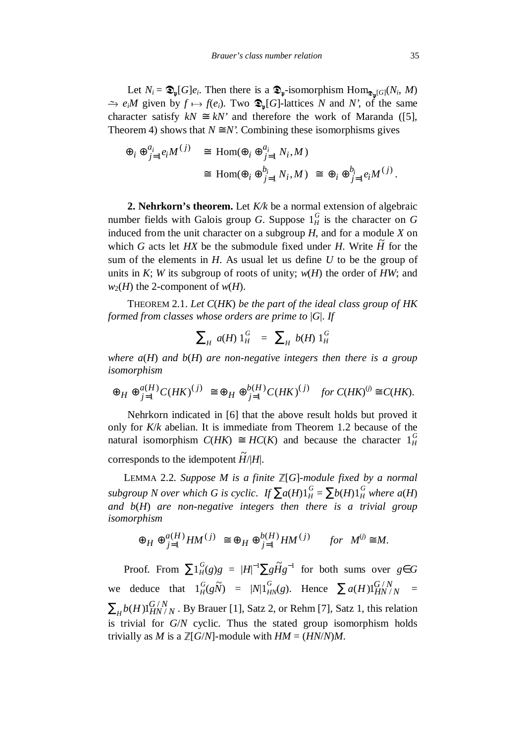Let  $N_i = \mathfrak{D}_{\mathfrak{p}}[G]e_i$ . Then there is a  $\mathfrak{D}_{\mathfrak{p}}$ -isomorphism  $\text{Hom}_{\mathfrak{D}_{\mathfrak{p}}[G]}(N_i, M)$  $\Rightarrow$   $e_i M$  given by  $f \mapsto f(e_i)$ . Two  $\mathcal{D}_{\mu}[G]$ -lattices *N* and *N'*, of the same character satisfy  $kN \cong kN'$  and therefore the work of Maranda ([5], Theorem 4) shows that  $N \cong N'$ . Combining these isomorphisms gives

$$
\begin{array}{rcl}\n\oplus_i \oplus_{j=1}^{a_i} e_i M^{(j)} & \cong \text{ Hom}(\oplus_i \oplus_{j=1}^{a_i} N_i, M) \\
& \cong \text{ Hom}(\oplus_i \oplus_{j=1}^{b_i} N_i, M) \cong \oplus_i \oplus_{j=1}^{b_i} e_i M^{(j)}.\n\end{array}
$$

**2. Nehrkorn's theorem.** Let *K/k* be a normal extension of algebraic number fields with Galois group *G*. Suppose  $1_H^G$  is the character on *G* induced from the unit character on a subgroup *H*, and for a module *X* on which *G* acts let *HX* be the submodule fixed under *H*. Write  $\tilde{H}$  for the sum of the elements in *H*. As usual let us define *U* to be the group of units in *K*; *W* its subgroup of roots of unity;  $w(H)$  the order of *HW*; and  $w_2(H)$  the 2-component of  $w(H)$ .

THEOREM 2.1. *Let C*(*HK*) *be the part of the ideal class group of HK formed from classes whose orders are prime to* |*G*|. *If*

$$
\sum_{H} a(H) 1_{H}^{G} = \sum_{H} b(H) 1_{H}^{G}
$$

*where a*(*H*) *and b*(*H*) *are non-negative integers then there is a group isomorphism*

$$
\oplus_H \oplus_{j=1}^{a(H)} C(HK)^{(j)} \cong \oplus_H \oplus_{j=1}^{b(H)} C(HK)^{(j)} \quad \text{for } C(HK)^{(j)} \cong C(HK).
$$

Nehrkorn indicated in [6] that the above result holds but proved it only for *K*/*k* abelian. It is immediate from Theorem 1.2 because of the natural isomorphism  $C(HK) \cong HC(K)$  and because the character  $1_H^G$ corresponds to the idempotent  $\widetilde{H}/|H|$ .

<sup>L</sup>EMMA 2.2. *Suppose M is a finite* ¦[*G*]*-module fixed by a normal subgroup N over which G is cyclic. If*  $\sum a(H) 1_H^G = \sum b(H) 1_H^G$  where  $a(H)$ *and b*(*H*) *are non-negative integers then there is a trivial group isomorphism*

$$
\oplus_H\oplus_{j=1}^{a(H)}HM^{(j)}\ \cong \oplus_H\oplus_{j=1}^{b(H)}HM^{(j)}\quad \ for\ \ M^{(j)}\cong M.
$$

Proof. From  $\sum 1_H^G(g)g = |H|^{-1} \sum g \tilde{H} g^{-1}$  for both sums over  $g \in G$ we deduce that  $1_H^G(g\tilde{N}) = |N|1_{HN}^G(g)$ . Hence  $\sum a(H)1_{HN/N}^{G/N} =$  $\sum_{H} b(H) 1_{HN/N}^{G/N}$  . By Brauer [1], Satz 2, or Rehm [7], Satz 1, this relation is trivial for *G*/*N* cyclic. Thus the stated group isomorphism holds trivially as *M* is a  $\mathbb{Z}[G/N]$ -module with  $HM = (HN/N)M$ .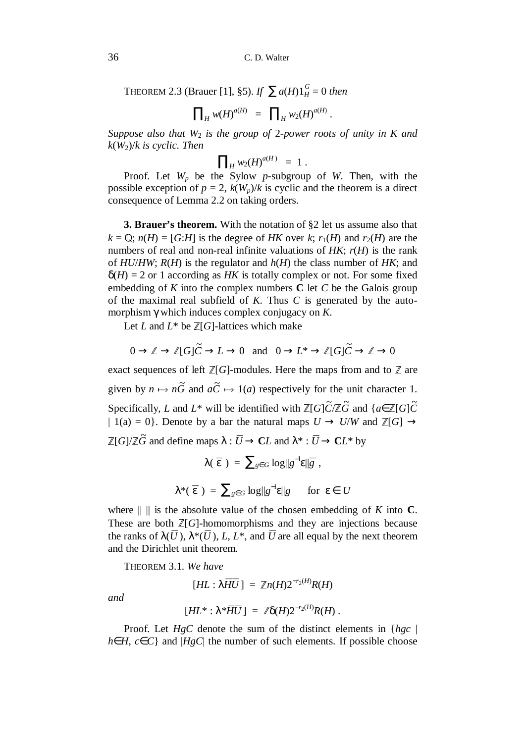THEOREM 2.3 (Brauer [1], §5). *If*  $\sum a(H)1_H^G = 0$  *then* 

$$
\prod_{H} w(H)^{a(H)} = \prod_{H} w_2(H)^{a(H)}.
$$

*Suppose also that W*2 *is the group of* 2-*power roots of unity in K and k*(*W*2)/*k is cyclic. Then*

$$
\prod_{H} w_2(H)^{a(H)} = 1.
$$

Proof. Let  $W_p$  be the Sylow  $p$ -subgroup of  $W$ . Then, with the possible exception of  $p = 2$ ,  $k(W_p)/k$  is cyclic and the theorem is a direct consequence of Lemma 2.2 on taking orders.

**3. Brauer's theorem.** With the notation of §2 let us assume also that  $k = \mathbb{Q}$ ;  $n(H) = [G:H]$  is the degree of *HK* over *k*;  $r_1(H)$  and  $r_2(H)$  are the numbers of real and non-real infinite valuations of *HK*; *r*(*H*) is the rank of *HU*/*HW*; *R*(*H*) is the regulator and *h*(*H*) the class number of *HK*; and  $\delta(H) = 2$  or 1 according as *HK* is totally complex or not. For some fixed embedding of *K* into the complex numbers **C** let *C* be the Galois group of the maximal real subfield of *K*. Thus *C* is generated by the automorphism γ which induces complex conjugacy on *K*.

Let *L* and  $L^*$  be  $\mathbb{Z}[G]$ -lattices which make

 $0 \to \mathbb{Z} \to \mathbb{Z}[G]\widetilde{C} \to L \to 0$  and  $0 \to L^* \to \mathbb{Z}[G]\widetilde{C} \to \mathbb{Z} \to 0$ 

exact sequences of left  $\mathbb{Z}[G]$ -modules. Here the maps from and to  $\mathbb{Z}$  are given by  $n \mapsto n\tilde{G}$  and  $a\tilde{C} \mapsto 1(a)$  respectively for the unit character 1. Specifically, *L* and *L*<sup>\*</sup> will be identified with  $\mathbb{Z}[G]\tilde{C}/\mathbb{Z}\tilde{G}$  and  $\{a \in \mathbb{Z}[G]\tilde{C}$ | 1(a) = 0}. Denote by a bar the natural maps  $U \rightarrow U/W$  and  $\mathbb{Z}[G] \rightarrow$  $\mathbb{Z}[G]/\mathbb{Z}\widetilde{G}$  and define maps  $\lambda: U \to \mathbb{C}L$  and  $\lambda^*: U \to \mathbb{C}L^*$  by

$$
\lambda(\varepsilon) = \sum_{g \in G} \log ||g^{-1} \varepsilon||_{\bar{g}} ,
$$
  

$$
\lambda^*(\varepsilon) = \sum_{g \in G} \log ||g^{-1} \varepsilon||_g \quad \text{for } \varepsilon \in U
$$

where  $|| \cdot ||$  is the absolute value of the chosen embedding of *K* into **C**. These are both  $\mathbb{Z}[G]$ -homomorphisms and they are injections because the ranks of  $\lambda(U)$ ,  $\lambda^*(U)$ , *L*, *L*<sup>\*</sup>, and *U* are all equal by the next theorem and the Dirichlet unit theorem.

THEOREM 3.1. *We have*

$$
[HL:\lambda HU]=\mathbb{Z}n(H)2^{-r_2(H)}R(H)
$$

*and*

$$
[HL^*:\lambda^*HU]=\mathbb{Z}\delta(H)2^{-r_2(H)}R(H).
$$

Proof. Let *HgC* denote the sum of the distinct elements in {*hgc* | *h*∈*H*, *c*∈*C*} and |*HgC*| the number of such elements. If possible choose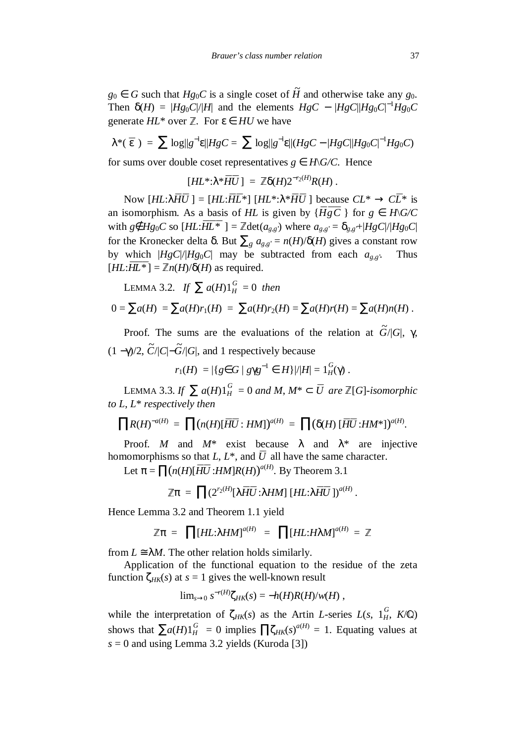*g*<sup>0</sup> ∈ *G* such that *Hg*<sup>0</sup>*C* is a single coset of  $\widetilde{H}$  and otherwise take any *g*<sup>0</sup>. Then  $\delta(H) = |Hg_0C|/|H|$  and the elements  $HgC - |HgC| |Hg_0C|^{-1}Hg_0C$ generate  $HL^*$  over  $\mathbb{Z}$ . For  $\varepsilon \in HU$  we have

$$
\lambda^*(\,\varepsilon\,)\,=\,\sum\, \log\|g^{-1}\varepsilon\|HgC=\,\sum\, \log\|g^{-1}\varepsilon\|(HgC-|HgC||Hg_0C|^{-1}Hg_0C)
$$

for sums over double coset representatives  $g \in H\backslash G\!C$ . Hence

$$
[HL^*:\lambda^*HU]=\mathbb{Z}\delta(H)2^{-r_2(H)}R(H).
$$

Now  $[HL:\lambda HU] = [HL:HL*] [HL*:\lambda*HU]$  because  $CL* → CL*$  is an isomorphism. As a basis of *HL* is given by  ${H\bar{g}C}$  } for  $g \in H\backslash G\backslash C$ with  $g \notin Hg_0C$  so  $[HL:HL^*$  ] =  $\mathbb{Z} \det(a_{g,g})$  where  $a_{g,g} = \delta_{g,g} + |HgC|/|Hg_0C|$ for the Kronecker delta δ. But ∑*<sup>g</sup> ag*,*g*' = *n*(*H*)/δ(*H*) gives a constant row by which  $|HgC|/|Hg_0C|$  may be subtracted from each  $a_{g,g}$ . Thus  $[HL:HL^*]=\mathbb{Z}n(H)/\delta(H)$  as required.

LEMMA 3.2. *If*  $\sum a(H) 1_H^G = 0$  *then* 

$$
0 = \sum a(H) = \sum a(H)r_1(H) = \sum a(H)r_2(H) = \sum a(H)r(H) = \sum a(H)n(H).
$$

Proof. The sums are the evaluations of the relation at  $\tilde{G}/|G|$ , γ,  $(1 - \gamma)/2$ ,  $\tilde{C}/|C|$ - $\tilde{G}/|G|$ , and 1 respectively because

$$
r_1(H) = |\{ g \in G \mid g \gamma g^{-1} \in H \}| / |H| = 1 \frac{G}{H}(\gamma).
$$

LEMMA 3.3. *If*  $\sum a(H)1_H^G = 0$  *and M*, *M*<sup>\*</sup> ⊂ *U* are  $\mathbb{Z}[G]$ -*isomorphic to L*, *L*\* *respectively then*

$$
\prod R(H)^{-a(H)} = \prod (n(H)[HU:HM])^{a(H)} = \prod (\delta(H) [HU:HM^*])^{a(H)}.
$$

Proof. *M* and  $M^*$  exist because  $\lambda$  and  $\lambda^*$  are injective homomorphisms so that  $L, L^*$ , and  $U$  all have the same character.

Let  $\pi = \prod(n(H)[HU:HM]R(H))^{a(H)}$ . By Theorem 3.1

$$
\mathbb{Z}\pi = \prod (2^{r_2(H)}[\lambda HU:\lambda HM][HL:\lambda HU])^{a(H)}.
$$

Hence Lemma 3.2 and Theorem 1.1 yield

$$
\mathbb{Z}\pi = \prod [HL:\lambda HM]^{a(H)} = \prod [HL:H\lambda M]^{a(H)} = \mathbb{Z}
$$

from  $L \cong \lambda M$ . The other relation holds similarly.

Application of the functional equation to the residue of the zeta function  $\zeta_{HK}(s)$  at  $s = 1$  gives the well-known result

$$
\lim_{s\to 0} s^{-r(H)}\zeta_{HK}(s)=-h(H)R(H)/w(H)
$$
,

while the interpretation of  $\zeta_{HK}(s)$  as the Artin *L*-series *L*(*s*, 1<sup>*G*</sup>, *K*/**Q**) shows that  $\sum a(H) 1_H^G = 0$  implies  $\prod \zeta_{HK}(s)^{a(H)} = 1$ . Equating values at  $s = 0$  and using Lemma 3.2 yields (Kuroda [3])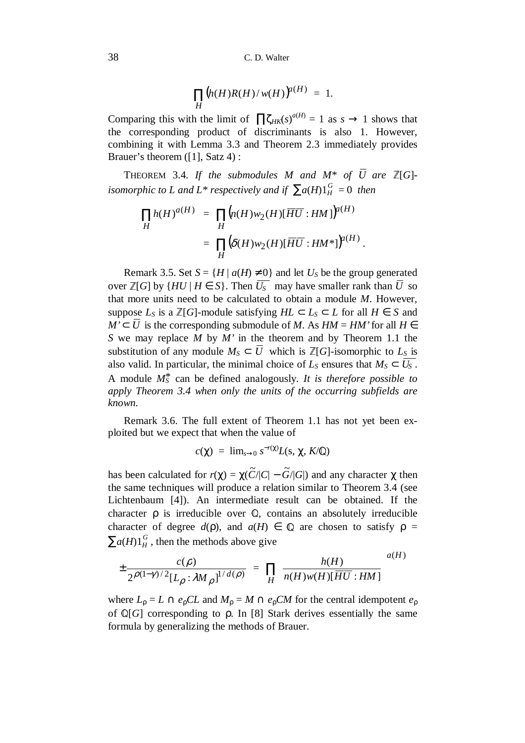$$
\prod_H (h(H)R(H)/w(H))^{a(H)} = 1.
$$

Comparing this with the limit of  $\prod \zeta_{HK}(s)^{a(H)} = 1$  as  $s \to 1$  shows that the corresponding product of discriminants is also 1. However, combining it with Lemma 3.3 and Theorem 2.3 immediately provides Brauer's theorem ([1], Satz 4) :

THEOREM 3.4. If the submodules M and  $M^*$  of U are  $\mathbb{Z}[G]$ *isomorphic to L and L\* respectively and if*  $\sum a(H)1_H^G = 0$  *then* 

$$
\prod_{H} h(H)^{a(H)} = \prod_{H} \left( n(H) w_2(H) [\overline{HU} : HM] \right)^{a(H)}
$$

$$
= \prod_{H} \left( \delta(H) w_2(H) [\overline{HU} : HM^*] \right)^{a(H)}.
$$

Remark 3.5. Set  $S = {H | a(H) \neq 0}$  and let  $U_S$  be the group generated over  $\mathbb{Z}[G]$  by  $\{HU \mid H \in S\}$ . Then  $U_5^-$  may have smaller rank than  $U$  so that more units need to be calculated to obtain a module *M*. However, suppose  $L_S$  is a  $\mathbb{Z}[G]$ -module satisfying  $HL \subset L_S \subset L$  for all  $H \in S$  and *M*' $\subset$  *U* is the corresponding submodule of *M*. As *HM* = *HM*' for all *H* ∈ *S* we may replace *M* by *M'* in the theorem and by Theorem 1.1 the substitution of any module  $M_S \subset U$  which is  $\mathbb{Z}[G]$ -isomorphic to  $L_S$  is also valid. In particular, the minimal choice of  $L_s$  ensures that  $M_s \subset U_s^-$ . A module *M<sup>S</sup>* \* can be defined analogously. *It is therefore possible to apply Theorem 3.4 when only the units of the occurring subfields are known*.

Remark 3.6. The full extent of Theorem 1.1 has not yet been exploited but we expect that when the value of

$$
c(\chi) = \lim_{s \to 0} s^{-r(\chi)} L(s, \chi, K/\mathbb{Q})
$$

has been calculated for  $r(\chi) = \chi(\widetilde{C}/|C| - \widetilde{G}/|G|)$  and any character  $\chi$  then the same techniques will produce a relation similar to Theorem 3.4 (see Lichtenbaum [4]). An intermediate result can be obtained. If the character  $\rho$  is irreducible over  $\mathbb Q$ , contains an absolutely irreducible character of degree  $d(\rho)$ , and  $a(H) \in \mathbb{Q}$  are chosen to satisfy  $\rho =$  $\sum a(H) 1_H^G$ , then the methods above give

$$
\pm \frac{c(\rho)}{2^{\rho(1-\gamma)/2}[L_{\rho}:\lambda M_{\rho}]} = \prod_{H} \left\{ \frac{h(H)}{n(H)w(H)[\overline{HU} : HM]} \right\}^{a(H)}
$$

where  $L_{\rho} = L \cap e_{\rho}CL$  and  $M_{\rho} = M \cap e_{\rho}CM$  for the central idempotent  $e_{\rho}$ of  $\mathbb{Q}[G]$  corresponding to  $\rho$ . In [8] Stark derives essentially the same formula by generalizing the methods of Brauer.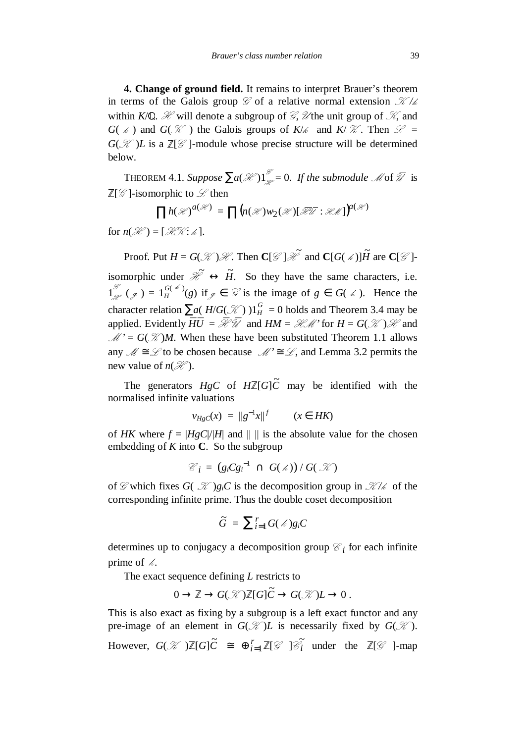**4. Change of ground field.** It remains to interpret Brauer's theorem in terms of the Galois group  $\mathcal G$  of a relative normal extension  $\mathcal K/k$ within *K*/ $\mathbb{Q}$ . *H* will denote a subgroup of *G*, *U* the unit group of *K*, and *G*( $\ast$ ) and *G*( $\mathcal{K}$ ) the Galois groups of *K*/ $\ast$  and *K*/ $\mathcal{K}$ . Then  $\mathcal{L}$  =  $G(\mathcal{K})L$  is a  $\mathbb{Z}[\mathcal{G}]$ -module whose precise structure will be determined below.

THEOREM 4.1. *Suppose*  $\sum a(\mathcal{H})1^{\mathcal{F}}_{\mathcal{H}} = 0$ . If the submodule  $\mathcal{M}$  of  $\mathcal{U}$  is  $\mathbb{Z}[\mathscr{G}]$ -isomorphic to  $\mathscr{L}$  then

$$
\prod h(\mathcal{H})^{a(\mathcal{H})} = \prod (n(\mathcal{H})w_2(\mathcal{H})[\mathcal{H}\mathcal{H}:\mathcal{HM}]\big)^{a(\mathcal{H})}
$$

for  $n(\mathcal{H}) = [\mathcal{H}\mathcal{K}; k]$ .

Proof. Put  $H = G(\mathcal{K})\mathcal{H}$ . Then  $\mathbb{C}[\mathcal{G}]\mathcal{H}$  and  $\mathbb{C}[G(\mathcal{M})]\tilde{H}$  are  $\mathbb{C}[\mathcal{G}]\cdot$ isomorphic under  $\mathcal{H} \leftrightarrow \tilde{H}$ . So they have the same characters, i.e.  $1^{\mathcal{G}}_{\mathcal{L}}(\mathcal{J}) = 1^{\mathcal{G}(\mathcal{L})}_{H}(g)$  if  $\mathcal{J} \in \mathcal{G}$  is the image of  $g \in G(\mathcal{L})$ . Hence the character relation  $\sum a(H/G(\mathcal{K}))1_H^G = 0$  holds and Theorem 3.4 may be<br>consider Findently  $HT = \mathcal{V}^{g}$  and  $HM = \mathcal{V}^{g}$  for  $H = G(\mathcal{K}) \mathcal{V}$  and applied. Evidently  $H U = \mathcal{H} U$  and  $H M = \mathcal{H} M'$  for  $H = G(\mathcal{K}) \mathcal{H}$  and  $M' = G(\mathcal{K})M$ . When these have been substituted Theorem 1.1 allows any  $\mathcal{M} \cong \mathcal{L}$  to be chosen because  $\mathcal{M}' \cong \mathcal{L}$ , and Lemma 3.2 permits the new value of  $n(\mathcal{H})$ .

The generators  $HgC$  of  $H\mathbb{Z}[G]\tilde{C}$  may be identified with the normalised infinite valuations

$$
v_{HgC}(x) = ||g^{-1}x||^{f} \qquad (x \in HK)
$$

of *HK* where  $f = |HgC|/|H|$  and  $|| \, ||$  is the absolute value for the chosen embedding of *K* into **C**. So the subgroup

$$
\mathcal{C}_i = (g_i C g_i^{-1} \cap G(\mathscr{M})) / G(\mathscr{K})
$$

of  $\mathcal{G}$  which fixes  $G(\mathcal{K})g_iC$  is the decomposition group in  $\mathcal{K}/\mathcal{K}$  of the corresponding infinite prime. Thus the double coset decomposition

$$
\widetilde{G} = \sum_{i=1}^r G(\mathcal{L})g_iC
$$

determines up to conjugacy a decomposition group  $\mathcal{C}_i$  for each infinite prime of  $\mathcal{L}$ .

The exact sequence defining *L* restricts to

$$
0 \to \mathbb{Z} \to G(\mathcal{K})\mathbb{Z}[G]\widetilde{C} \to G(\mathcal{K})L \to 0.
$$

This is also exact as fixing by a subgroup is a left exact functor and any pre-image of an element in  $G(\mathcal{K})L$  is necessarily fixed by  $G(\mathcal{K})$ . However,  $G(\mathcal{K})\mathbb{Z}[G]\tilde{C} \cong \bigoplus_{i=1}^r \mathbb{Z}[\mathcal{G}] \widetilde{\mathcal{E}_i}$ *i* under the  $\mathbb{Z}[\mathscr{G}]$ -map